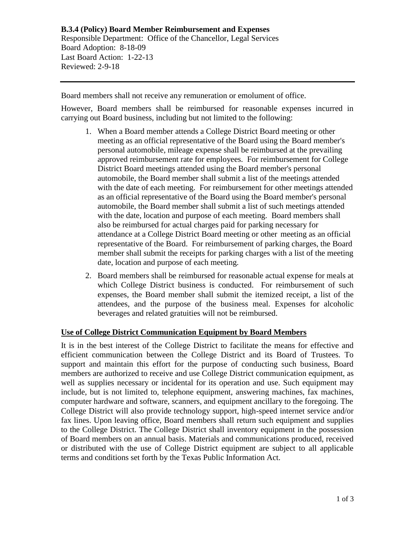## **B.3.4 (Policy) Board Member Reimbursement and Expenses** Responsible Department: Office of the Chancellor, Legal Services Board Adoption: 8-18-09 Last Board Action: 1-22-13 Reviewed: 2-9-18

Board members shall not receive any remuneration or emolument of office.

However, Board members shall be reimbursed for reasonable expenses incurred in carrying out Board business, including but not limited to the following:

- 1. When a Board member attends a College District Board meeting or other meeting as an official representative of the Board using the Board member's personal automobile, mileage expense shall be reimbursed at the prevailing approved reimbursement rate for employees. For reimbursement for College District Board meetings attended using the Board member's personal automobile, the Board member shall submit a list of the meetings attended with the date of each meeting. For reimbursement for other meetings attended as an official representative of the Board using the Board member's personal automobile, the Board member shall submit a list of such meetings attended with the date, location and purpose of each meeting. Board members shall also be reimbursed for actual charges paid for parking necessary for attendance at a College District Board meeting or other meeting as an official representative of the Board. For reimbursement of parking charges, the Board member shall submit the receipts for parking charges with a list of the meeting date, location and purpose of each meeting.
- 2. Board members shall be reimbursed for reasonable actual expense for meals at which College District business is conducted. For reimbursement of such expenses, the Board member shall submit the itemized receipt, a list of the attendees, and the purpose of the business meal. Expenses for alcoholic beverages and related gratuities will not be reimbursed.

## **Use of College District Communication Equipment by Board Members**

It is in the best interest of the College District to facilitate the means for effective and efficient communication between the College District and its Board of Trustees. To support and maintain this effort for the purpose of conducting such business, Board members are authorized to receive and use College District communication equipment, as well as supplies necessary or incidental for its operation and use. Such equipment may include, but is not limited to, telephone equipment, answering machines, fax machines, computer hardware and software, scanners, and equipment ancillary to the foregoing. The College District will also provide technology support, high-speed internet service and/or fax lines. Upon leaving office, Board members shall return such equipment and supplies to the College District. The College District shall inventory equipment in the possession of Board members on an annual basis. Materials and communications produced, received or distributed with the use of College District equipment are subject to all applicable terms and conditions set forth by the Texas Public Information Act.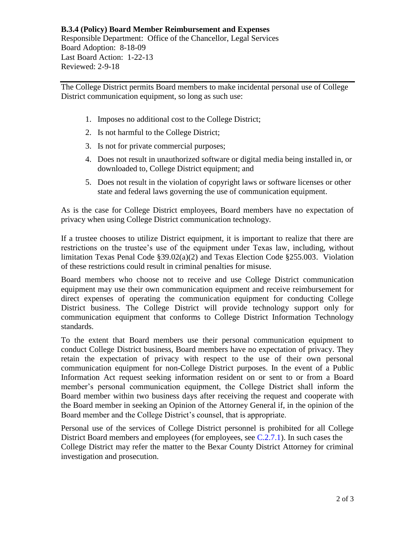## **B.3.4 (Policy) Board Member Reimbursement and Expenses** Responsible Department: Office of the Chancellor, Legal Services Board Adoption: 8-18-09 Last Board Action: 1-22-13 Reviewed: 2-9-18

The College District permits Board members to make incidental personal use of College District communication equipment, so long as such use:

- 1. Imposes no additional cost to the College District;
- 2. Is not harmful to the College District;
- 3. Is not for private commercial purposes;
- 4. Does not result in unauthorized software or digital media being installed in, or downloaded to, College District equipment; and
- 5. Does not result in the violation of copyright laws or software licenses or other state and federal laws governing the use of communication equipment.

As is the case for College District employees, Board members have no expectation of privacy when using College District communication technology.

If a trustee chooses to utilize District equipment, it is important to realize that there are restrictions on the trustee's use of the equipment under Texas law, including, without limitation Texas Penal Code §39.02(a)(2) and Texas Election Code §255.003. Violation of these restrictions could result in criminal penalties for misuse.

Board members who choose not to receive and use College District communication equipment may use their own communication equipment and receive reimbursement for direct expenses of operating the communication equipment for conducting College District business. The College District will provide technology support only for communication equipment that conforms to College District Information Technology standards.

To the extent that Board members use their personal communication equipment to conduct College District business, Board members have no expectation of privacy. They retain the expectation of privacy with respect to the use of their own personal communication equipment for non-College District purposes. In the event of a Public Information Act request seeking information resident on or sent to or from a Board member's personal communication equipment, the College District shall inform the Board member within two business days after receiving the request and cooperate with the Board member in seeking an Opinion of the Attorney General if, in the opinion of the Board member and the College District's counsel, that is appropriate.

Personal use of the services of College District personnel is prohibited for all College District Board members and employees (for employees, see [C.2.7.1\)](https://www.alamo.edu/siteassets/district/about-us/leadership/board-of-trustees/policies-pdfs/section-c/c.2.7.1-procedure.pdf). In such cases the College District may refer the matter to the Bexar County District Attorney for criminal investigation and prosecution.